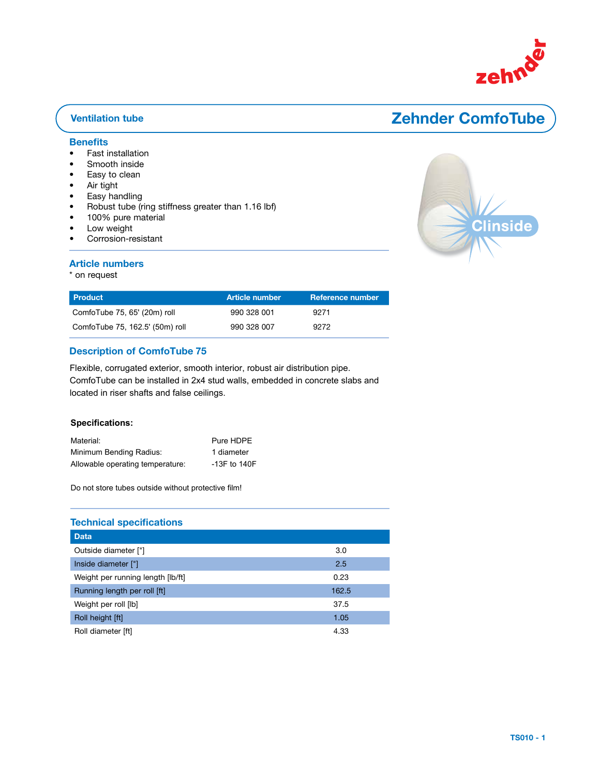

# **Lufturgsroom**

### **Benefits**

- Fast installation
- Smooth inside
- Easy to clean
- Air tight
- Easy handling
- Robust tube (ring stiffness greater than 1.16 lbf)

ComfoTube 63, Rolle 50 m \* 990 328 006

- 100% pure material
- Low weight
- Corrosion-resistant

#### Article numbers

\* on request



| l Product                       | <b>Article number</b> | Reference number |
|---------------------------------|-----------------------|------------------|
| ComfoTube 75, 65' (20m) roll    | 990 328 001           | 9271             |
| ComfoTube 75, 162.5' (50m) roll | 990 328 007           | 9272             |

#### **Description of ComfoTube 75**

Flexible, corrugated exterior, smooth interior, robust air distribution pipe. ComfoTube can be installed in 2x4 stud walls, embedded in concrete slabs and  $\sim$  and all  $\sim$  since  $\sim$  both  $\sim$  and foloo sailines. located in riser shafts and false ceilings.

#### ${\sf Specification}$  :  ${\sf Spec}$

| Material:                        | Pure HDPE        |
|----------------------------------|------------------|
| Minimum Bending Radius:          | 1 diameter       |
| Allowable operating temperature: | $-13F$ to $140F$ |

Do not store tubes outside without protective film!

### Technical specifications und Doppeldecken verlegt werden.

| <b>Data</b>                       |       |
|-----------------------------------|-------|
| Outside diameter ["]              | 3.0   |
| Inside diameter ["]               | 2.5   |
| Weight per running length [lb/ft] | 0.23  |
| Running length per roll [ft]      | 162.5 |
| Weight per roll [lb]              | 37.5  |
| Roll height [ft]                  | 1.05  |
| Roll diameter [ft]                | 4.33  |

stabiles Luft-Verteilrohr. Das ComfoTube-75 kann einfach einbetoniert, direkt im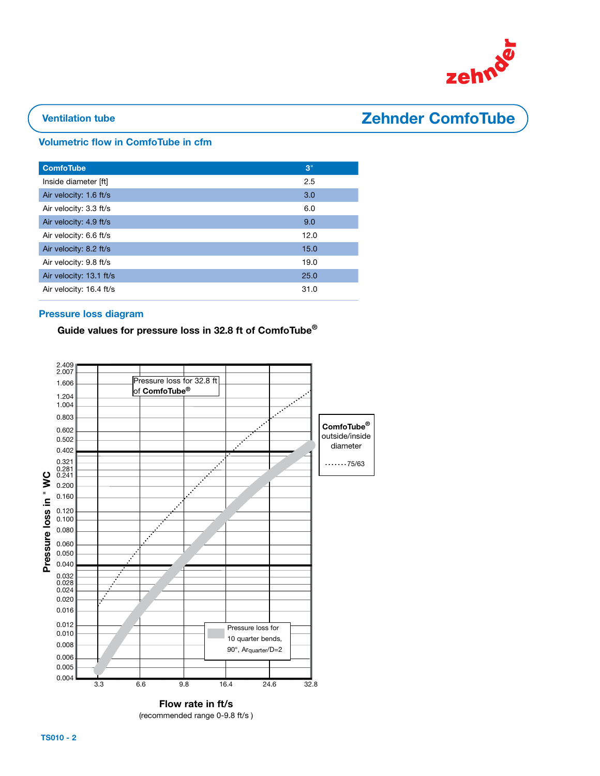

## Ventilation tube **Zehnder ComfoTube**

#### Volumetric flow in ComfoTube in cfm

| <b>ComfoTube</b>        | 3"   |
|-------------------------|------|
| Inside diameter [ft]    | 2.5  |
| Air velocity: 1.6 ft/s  | 3.0  |
| Air velocity: 3.3 ft/s  | 6.0  |
| Air velocity: 4.9 ft/s  | 9.0  |
| Air velocity: 6.6 ft/s  | 12.0 |
| Air velocity: 8.2 ft/s  | 15.0 |
| Air velocity: 9.8 ft/s  | 19.0 |
| Air velocity: 13.1 ft/s | 25.0 |
| Air velocity: 16.4 ft/s | 31.0 |

### Pressure loss diagram

### Guide values for pressure loss in 32.8 ft of ComfoTube<sup>®</sup>



(recommended range 0-9.8 ft/s )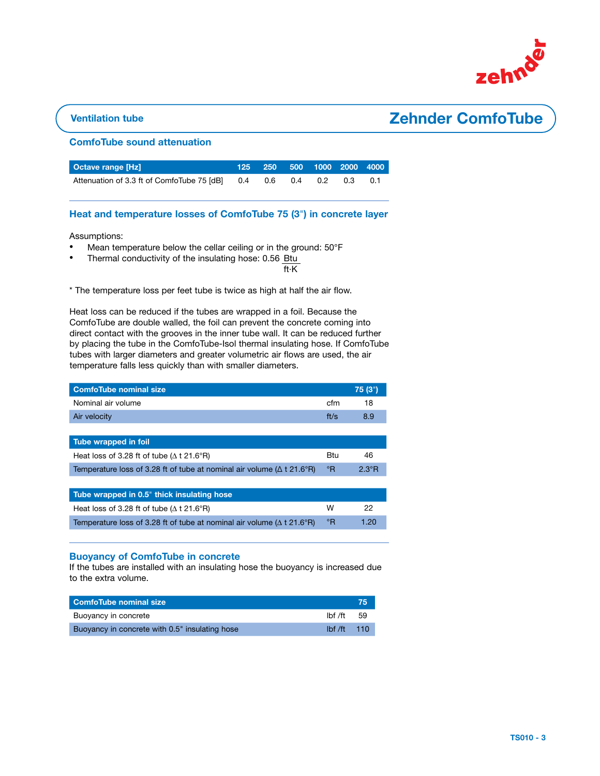

## Ventilation tube **Zehnder ComfoTube**

#### ComfoTube sound attenuation

| <b>Octave range [Hz]</b>                                           |  | 125 250 500 1000 2000 4000 |  |
|--------------------------------------------------------------------|--|----------------------------|--|
| Attenuation of 3.3 ft of ComfoTube 75 [dB] 0.4 0.6 0.4 0.2 0.3 0.1 |  |                            |  |

#### Heat and temperature losses of ComfoTube 75 (3") in concrete layer

Assumptions: 

- Mean temperature below the cellar ceiling or in the ground: 50°F
- Thermal conductivity of the insulating hose: 0.56 Btu

ft·K

\* The temperature loss per feet tube is twice as high at half the air flow.

Heat loss can be reduced if the tubes are wrapped in a foil. Because the ComfoTube are double walled, the foil can prevent the concrete coming into direct contact with the grooves in the inner tube wall. It can be reduced further by placing the tube in the ComfoTube-Isol thermal insulating hose. If ComfoTube tubes with larger diameters and greater volumetric air flows are used, the air temperature falls less quickly than with smaller diameters.

| <b>ComfoTube nominal size</b>                                                  |              | 75 (3")        |
|--------------------------------------------------------------------------------|--------------|----------------|
| Nominal air volume                                                             | cfm          | 18             |
| Air velocity                                                                   | ft/s         | 8.9            |
|                                                                                |              |                |
| Tube wrapped in foil                                                           |              |                |
| Heat loss of 3.28 ft of tube ( $\Delta$ t 21.6°R)                              | Btu          | 46             |
| Temperature loss of 3.28 ft of tube at nominal air volume ( $\Delta$ t 21.6°R) | $\mathsf{P}$ | $2.3^{\circ}R$ |
|                                                                                |              |                |
| Tube wrapped in 0.5" thick insulating hose                                     |              |                |
| Heat loss of 3.28 ft of tube ( $\Delta$ t 21.6°R)                              | W            | 22             |
| Temperature loss of 3.28 ft of tube at nominal air volume ( $\Delta$ t 21.6°R) | °R           | 1.20           |

#### Buoyancy of ComfoTube in concrete

If the tubes are installed with an insulating hose the buoyancy is increased due to the extra volume.

| ComfoTube nominal size                         |                                              | 75  |
|------------------------------------------------|----------------------------------------------|-----|
| Buoyancy in concrete                           | lbf /ft                                      | .59 |
| Buoyancy in concrete with 0.5" insulating hose | $I\rightarrow$ $I\rightarrow$ $I\rightarrow$ | 110 |